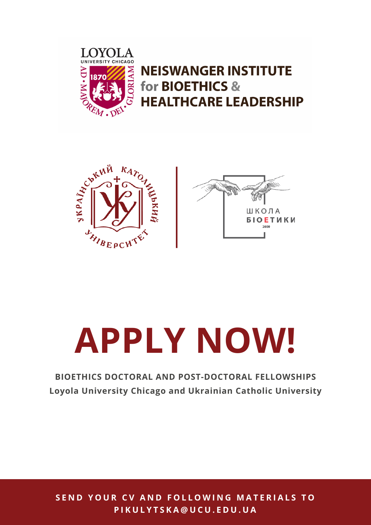

**NEISWANGER INSTITUTE** for BIOETHICS & **HEALTHCARE LEADERSHIP** 





# **APPLY NOW!**

# **BIOETHICS DOCTORAL AND POST-DOCTORAL FELLOWSHIPS Loyola University Chicago and Ukrainian Catholic University**

SEND YOUR CV AND FOLLOWING MATERIALS TO **P I K U L Y T S K A @ U C U . E D U . U A**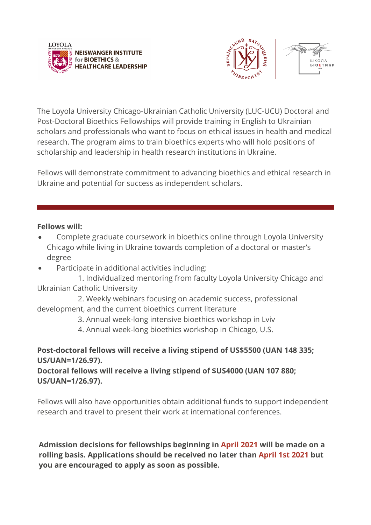



The Loyola University Chicago-Ukrainian Catholic University (LUC-UCU) Doctoral and Post-Doctoral Bioethics Fellowships will provide training in English to Ukrainian scholars and professionals who want to focus on ethical issues in health and medical research. The program aims to train bioethics experts who will hold positions of scholarship and leadership in health research institutions in Ukraine.

Fellows will demonstrate commitment to advancing bioethics and ethical research in Ukraine and potential for success as independent scholars.

### **Fellows will:**

- Complete graduate coursework in bioethics online through Loyola University Chicago while living in Ukraine towards completion of a doctoral or master's degree
- Participate in additional activities including:

 1. Individualized mentoring from faculty Loyola University Chicago and Ukrainian Catholic University

 2. Weekly webinars focusing on academic success, professional development, and the current bioethics current literature

3. Annual week-long intensive bioethics workshop in Lviv

4. Annual week-long bioethics workshop in Chicago, U.S.

# **Post-doctoral fellows will receive a living stipend of US\$5500 (UAN 148 335; US/UAN=1/26.97).**

**Doctoral fellows will receive a living stipend of \$US4000 (UAN 107 880; US/UAN=1/26.97).**

Fellows will also have opportunities obtain additional funds to support independent research and travel to present their work at international conferences.

**Admission decisions for fellowships beginning in April 2021 will be made on a rolling basis. Applications should be received no later than April 1st 2021 but you are encouraged to apply as soon as possible.**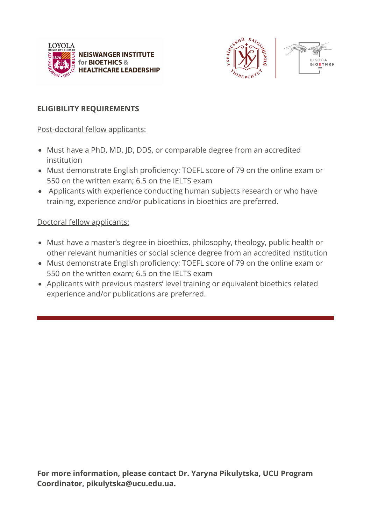



## **ELIGIBILITY REQUIREMENTS**

Post-doctoral fellow applicants:

- Must have a PhD, MD, JD, DDS, or comparable degree from an accredited institution
- Must demonstrate English proficiency: TOEFL score of 79 on the online exam or 550 on the written exam; 6.5 on the IELTS exam
- Applicants with experience conducting human subjects research or who have training, experience and/or publications in bioethics are preferred.

Doctoral fellow applicants:

- Must have a master's degree in bioethics, philosophy, theology, public health or other relevant humanities or social science degree from an accredited institution
- Must demonstrate English proficiency: TOEFL score of 79 on the online exam or 550 on the written exam; 6.5 on the IELTS exam
- Applicants with previous masters' level training or equivalent bioethics related experience and/or publications are preferred.

**For more information, please contact Dr. Yaryna Pikulytska, UCU Program Coordinator, pikulytska@ucu.edu.ua.**